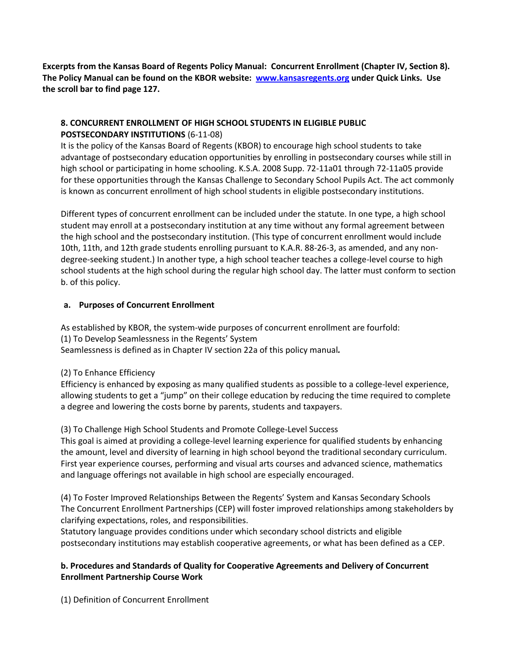**Excerpts from the Kansas Board of Regents Policy Manual: Concurrent Enrollment (Chapter IV, Section 8). The Policy Manual can be found on the KBOR website: [www.kansasregents.org](http://www.kansasregents.org/) under Quick Links. Use the scroll bar to find page 127.**

### **8. CONCURRENT ENROLLMENT OF HIGH SCHOOL STUDENTS IN ELIGIBLE PUBLIC POSTSECONDARY INSTITUTIONS** (6-11-08)

It is the policy of the Kansas Board of Regents (KBOR) to encourage high school students to take advantage of postsecondary education opportunities by enrolling in postsecondary courses while still in high school or participating in home schooling. K.S.A. 2008 Supp. 72-11a01 through 72-11a05 provide for these opportunities through the Kansas Challenge to Secondary School Pupils Act. The act commonly is known as concurrent enrollment of high school students in eligible postsecondary institutions.

Different types of concurrent enrollment can be included under the statute. In one type, a high school student may enroll at a postsecondary institution at any time without any formal agreement between the high school and the postsecondary institution. (This type of concurrent enrollment would include 10th, 11th, and 12th grade students enrolling pursuant to K.A.R. 88-26-3, as amended, and any nondegree-seeking student.) In another type, a high school teacher teaches a college-level course to high school students at the high school during the regular high school day. The latter must conform to section b. of this policy.

# **a. Purposes of Concurrent Enrollment**

As established by KBOR, the system-wide purposes of concurrent enrollment are fourfold: (1) To Develop Seamlessness in the Regents' System Seamlessness is defined as in Chapter IV section 22a of this policy manual*.*

#### (2) To Enhance Efficiency

Efficiency is enhanced by exposing as many qualified students as possible to a college-level experience, allowing students to get a "jump" on their college education by reducing the time required to complete a degree and lowering the costs borne by parents, students and taxpayers.

# (3) To Challenge High School Students and Promote College-Level Success

This goal is aimed at providing a college-level learning experience for qualified students by enhancing the amount, level and diversity of learning in high school beyond the traditional secondary curriculum. First year experience courses, performing and visual arts courses and advanced science, mathematics and language offerings not available in high school are especially encouraged.

(4) To Foster Improved Relationships Between the Regents' System and Kansas Secondary Schools The Concurrent Enrollment Partnerships (CEP) will foster improved relationships among stakeholders by clarifying expectations, roles, and responsibilities.

Statutory language provides conditions under which secondary school districts and eligible postsecondary institutions may establish cooperative agreements, or what has been defined as a CEP.

### **b. Procedures and Standards of Quality for Cooperative Agreements and Delivery of Concurrent Enrollment Partnership Course Work**

(1) Definition of Concurrent Enrollment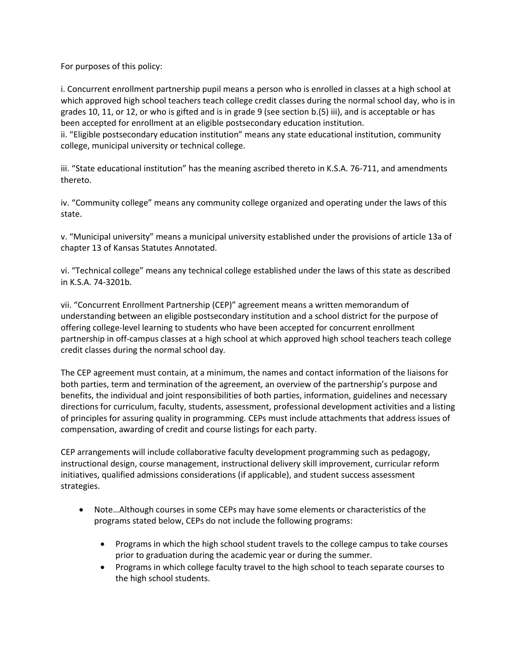For purposes of this policy:

i. Concurrent enrollment partnership pupil means a person who is enrolled in classes at a high school at which approved high school teachers teach college credit classes during the normal school day, who is in grades 10, 11, or 12, or who is gifted and is in grade 9 (see section b.(5) iii), and is acceptable or has been accepted for enrollment at an eligible postsecondary education institution.

ii. "Eligible postsecondary education institution" means any state educational institution, community college, municipal university or technical college.

iii. "State educational institution" has the meaning ascribed thereto in K.S.A. 76-711, and amendments thereto.

iv. "Community college" means any community college organized and operating under the laws of this state.

v. "Municipal university" means a municipal university established under the provisions of article 13a of chapter 13 of Kansas Statutes Annotated.

vi. "Technical college" means any technical college established under the laws of this state as described in K.S.A. 74-3201b.

vii. "Concurrent Enrollment Partnership (CEP)" agreement means a written memorandum of understanding between an eligible postsecondary institution and a school district for the purpose of offering college-level learning to students who have been accepted for concurrent enrollment partnership in off-campus classes at a high school at which approved high school teachers teach college credit classes during the normal school day*.*

The CEP agreement must contain, at a minimum, the names and contact information of the liaisons for both parties, term and termination of the agreement, an overview of the partnership's purpose and benefits, the individual and joint responsibilities of both parties, information, guidelines and necessary directions for curriculum, faculty, students, assessment, professional development activities and a listing of principles for assuring quality in programming*.* CEPs must include attachments that address issues of compensation, awarding of credit and course listings for each party.

CEP arrangements will include collaborative faculty development programming such as pedagogy, instructional design, course management, instructional delivery skill improvement, curricular reform initiatives, qualified admissions considerations (if applicable), and student success assessment strategies.

- Note…Although courses in some CEPs may have some elements or characteristics of the programs stated below, CEPs do not include the following programs:
	- Programs in which the high school student travels to the college campus to take courses prior to graduation during the academic year or during the summer.
	- Programs in which college faculty travel to the high school to teach separate courses to the high school students.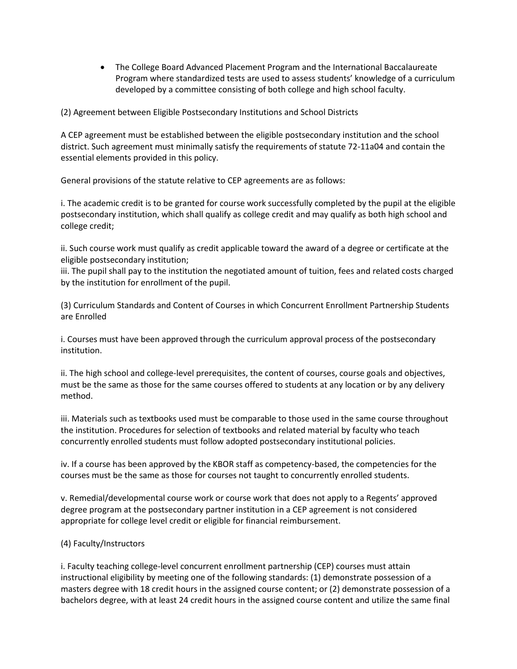The College Board Advanced Placement Program and the International Baccalaureate Program where standardized tests are used to assess students' knowledge of a curriculum developed by a committee consisting of both college and high school faculty.

(2) Agreement between Eligible Postsecondary Institutions and School Districts

A CEP agreement must be established between the eligible postsecondary institution and the school district. Such agreement must minimally satisfy the requirements of statute 72-11a04 and contain the essential elements provided in this policy.

General provisions of the statute relative to CEP agreements are as follows:

i. The academic credit is to be granted for course work successfully completed by the pupil at the eligible postsecondary institution, which shall qualify as college credit and may qualify as both high school and college credit;

ii. Such course work must qualify as credit applicable toward the award of a degree or certificate at the eligible postsecondary institution;

iii. The pupil shall pay to the institution the negotiated amount of tuition, fees and related costs charged by the institution for enrollment of the pupil.

(3) Curriculum Standards and Content of Courses in which Concurrent Enrollment Partnership Students are Enrolled

i. Courses must have been approved through the curriculum approval process of the postsecondary institution.

ii. The high school and college-level prerequisites, the content of courses, course goals and objectives, must be the same as those for the same courses offered to students at any location or by any delivery method.

iii. Materials such as textbooks used must be comparable to those used in the same course throughout the institution. Procedures for selection of textbooks and related material by faculty who teach concurrently enrolled students must follow adopted postsecondary institutional policies.

iv. If a course has been approved by the KBOR staff as competency-based, the competencies for the courses must be the same as those for courses not taught to concurrently enrolled students.

v. Remedial/developmental course work or course work that does not apply to a Regents' approved degree program at the postsecondary partner institution in a CEP agreement is not considered appropriate for college level credit or eligible for financial reimbursement.

# (4) Faculty/Instructors

i. Faculty teaching college-level concurrent enrollment partnership (CEP) courses must attain instructional eligibility by meeting one of the following standards: (1) demonstrate possession of a masters degree with 18 credit hours in the assigned course content; or (2) demonstrate possession of a bachelors degree, with at least 24 credit hours in the assigned course content and utilize the same final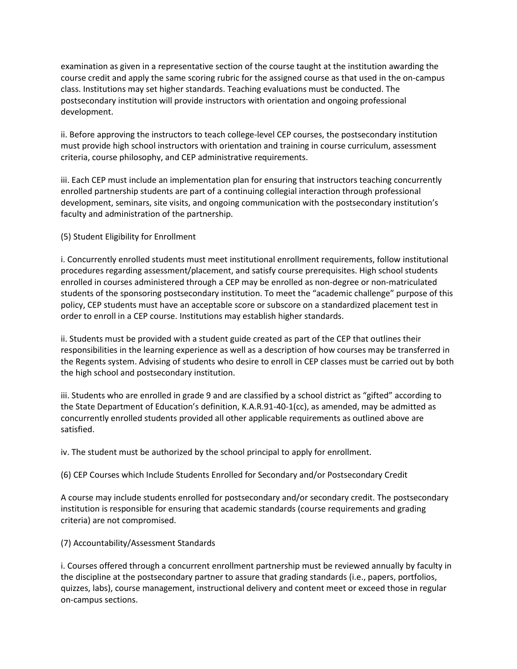examination as given in a representative section of the course taught at the institution awarding the course credit and apply the same scoring rubric for the assigned course as that used in the on-campus class. Institutions may set higher standards. Teaching evaluations must be conducted. The postsecondary institution will provide instructors with orientation and ongoing professional development.

ii. Before approving the instructors to teach college-level CEP courses, the postsecondary institution must provide high school instructors with orientation and training in course curriculum, assessment criteria, course philosophy, and CEP administrative requirements.

iii. Each CEP must include an implementation plan for ensuring that instructors teaching concurrently enrolled partnership students are part of a continuing collegial interaction through professional development, seminars, site visits, and ongoing communication with the postsecondary institution's faculty and administration of the partnership.

(5) Student Eligibility for Enrollment

i. Concurrently enrolled students must meet institutional enrollment requirements, follow institutional procedures regarding assessment/placement, and satisfy course prerequisites. High school students enrolled in courses administered through a CEP may be enrolled as non-degree or non-matriculated students of the sponsoring postsecondary institution. To meet the "academic challenge" purpose of this policy, CEP students must have an acceptable score or subscore on a standardized placement test in order to enroll in a CEP course. Institutions may establish higher standards.

ii. Students must be provided with a student guide created as part of the CEP that outlines their responsibilities in the learning experience as well as a description of how courses may be transferred in the Regents system. Advising of students who desire to enroll in CEP classes must be carried out by both the high school and postsecondary institution.

iii. Students who are enrolled in grade 9 and are classified by a school district as "gifted" according to the State Department of Education's definition, K.A.R.91-40-1(cc), as amended, may be admitted as concurrently enrolled students provided all other applicable requirements as outlined above are satisfied.

iv. The student must be authorized by the school principal to apply for enrollment.

(6) CEP Courses which Include Students Enrolled for Secondary and/or Postsecondary Credit

A course may include students enrolled for postsecondary and/or secondary credit. The postsecondary institution is responsible for ensuring that academic standards (course requirements and grading criteria) are not compromised.

(7) Accountability/Assessment Standards

i. Courses offered through a concurrent enrollment partnership must be reviewed annually by faculty in the discipline at the postsecondary partner to assure that grading standards (i.e., papers, portfolios, quizzes, labs), course management, instructional delivery and content meet or exceed those in regular on-campus sections.